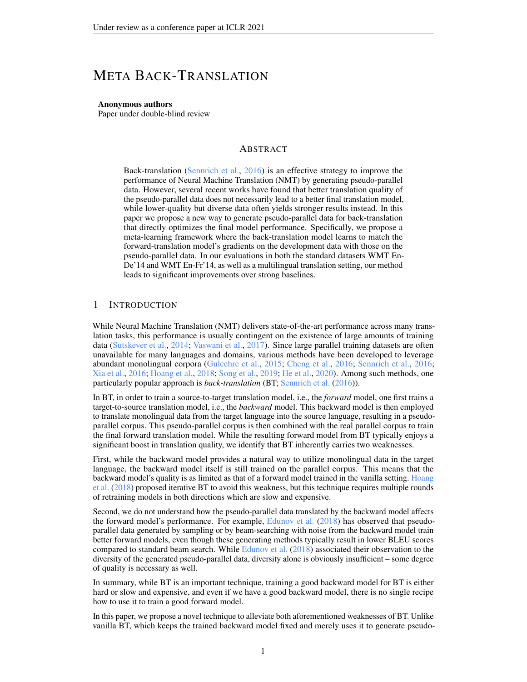# META BACK-TRANSLATION

Anonymous authors

Paper under double-blind review

## ABSTRACT

Back-translation (Sennrich et al., 2016) is an effective strategy to improve the performance of Neural Machine Translation (NMT) by generating pseudo-parallel data. However, several recent works have found that better translation quality of the pseudo-parallel data does not necessarily lead to a better final translation model, while lower-quality but diverse data often yields stronger results instead. In this paper we propose a new way to generate pseudo-parallel data for back-translation that directly optimizes the final model performance. Specifically, we propose a meta-learning framework where the back-translation model learns to match the forward-translation model's gradients on the development data with those on the pseudo-parallel data. In our evaluations in both the standard datasets WMT En-De'14 and WMT En-Fr'14, as well as a multilingual translation setting, our method leads to significant improvements over strong baselines.

# 1 INTRODUCTION

While Neural Machine Translation (NMT) delivers state-of-the-art performance across many translation tasks, this performance is usually contingent on the existence of large amounts of training data (Sutskever et al., 2014; Vaswani et al., 2017). Since large parallel training datasets are often unavailable for many languages and domains, various methods have been developed to leverage abundant monolingual corpora (Gulcehre et al., 2015; Cheng et al., 2016; Sennrich et al., 2016; Xia et al., 2016; Hoang et al., 2018; Song et al., 2019; He et al., 2020). Among such methods, one particularly popular approach is *back-translation* (BT; Sennrich et al. (2016)).

In BT, in order to train a source-to-target translation model, i.e., the *forward* model, one first trains a target-to-source translation model, i.e., the *backward* model. This backward model is then employed to translate monolingual data from the target language into the source language, resulting in a pseudoparallel corpus. This pseudo-parallel corpus is then combined with the real parallel corpus to train the final forward translation model. While the resulting forward model from BT typically enjoys a significant boost in translation quality, we identify that BT inherently carries two weaknesses.

First, while the backward model provides a natural way to utilize monolingual data in the target language, the backward model itself is still trained on the parallel corpus. This means that the backward model's quality is as limited as that of a forward model trained in the vanilla setting. Hoang et al. (2018) proposed iterative BT to avoid this weakness, but this technique requires multiple rounds of retraining models in both directions which are slow and expensive.

Second, we do not understand how the pseudo-parallel data translated by the backward model affects the forward model's performance. For example, Edunov et al. (2018) has observed that pseudoparallel data generated by sampling or by beam-searching with noise from the backward model train better forward models, even though these generating methods typically result in lower BLEU scores compared to standard beam search. While Edunov et al. (2018) associated their observation to the diversity of the generated pseudo-parallel data, diversity alone is obviously insufficient – some degree of quality is necessary as well.

In summary, while BT is an important technique, training a good backward model for BT is either hard or slow and expensive, and even if we have a good backward model, there is no single recipe how to use it to train a good forward model.

In this paper, we propose a novel technique to alleviate both aforementioned weaknesses of BT. Unlike vanilla BT, which keeps the trained backward model fixed and merely uses it to generate pseudo-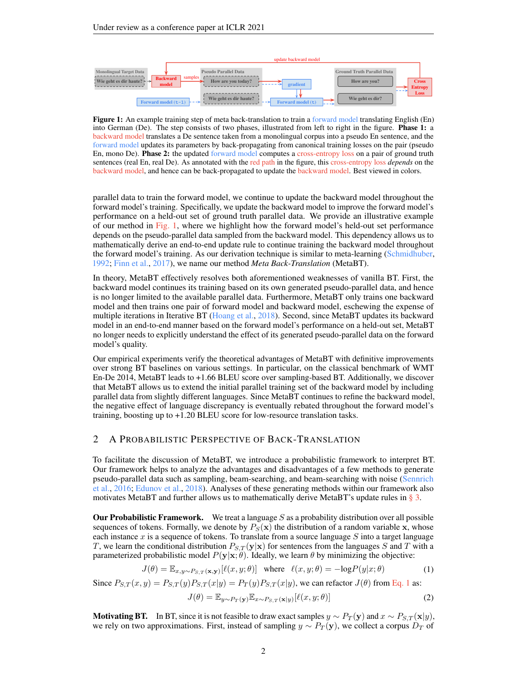

Figure 1: An example training step of meta back-translation to train a forward model translating English (En) into German (De). The step consists of two phases, illustrated from left to right in the figure. Phase 1: a backward model translates a De sentence taken from a monolingual corpus into a pseudo En sentence, and the forward model updates its parameters by back-propagating from canonical training losses on the pair (pseudo En, mono De). **Phase 2:** the updated forward model computes a cross-entropy loss on a pair of ground truth sentences (real En, real De). As annotated with the red path in the figure, this cross-entropy loss *depends* on the backward model, and hence can be back-propagated to update the backward model. Best viewed in colors.

parallel data to train the forward model, we continue to update the backward model throughout the forward model's training. Specifically, we update the backward model to improve the forward model's performance on a held-out set of ground truth parallel data. We provide an illustrative example of our method in Fig. 1, where we highlight how the forward model's held-out set performance depends on the pseudo-parallel data sampled from the backward model. This dependency allows us to mathematically derive an end-to-end update rule to continue training the backward model throughout the forward model's training. As our derivation technique is similar to meta-learning (Schmidhuber, 1992; Finn et al., 2017), we name our method *Meta Back-Translation* (MetaBT).

In theory, MetaBT effectively resolves both aforementioned weaknesses of vanilla BT. First, the backward model continues its training based on its own generated pseudo-parallel data, and hence is no longer limited to the available parallel data. Furthermore, MetaBT only trains one backward model and then trains one pair of forward model and backward model, eschewing the expense of multiple iterations in Iterative BT (Hoang et al., 2018). Second, since MetaBT updates its backward model in an end-to-end manner based on the forward model's performance on a held-out set, MetaBT no longer needs to explicitly understand the effect of its generated pseudo-parallel data on the forward model's quality.

Our empirical experiments verify the theoretical advantages of MetaBT with definitive improvements over strong BT baselines on various settings. In particular, on the classical benchmark of WMT En-De 2014, MetaBT leads to +1.66 BLEU score over sampling-based BT. Additionally, we discover that MetaBT allows us to extend the initial parallel training set of the backward model by including parallel data from slightly different languages. Since MetaBT continues to refine the backward model, the negative effect of language discrepancy is eventually rebated throughout the forward model's training, boosting up to +1.20 BLEU score for low-resource translation tasks.

## 2 A PROBABILISTIC PERSPECTIVE OF BACK-TRANSLATION

To facilitate the discussion of MetaBT, we introduce a probabilistic framework to interpret BT. Our framework helps to analyze the advantages and disadvantages of a few methods to generate pseudo-parallel data such as sampling, beam-searching, and beam-searching with noise (Sennrich et al., 2016; Edunov et al., 2018). Analyses of these generating methods within our framework also motivates MetaBT and further allows us to mathematically derive MetaBT's update rules in § 3.

**Our Probabilistic Framework.** We treat a language  $S$  as a probability distribution over all possible sequences of tokens. Formally, we denote by  $P_S(\mathbf{x})$  the distribution of a random variable x, whose each instance  $x$  is a sequence of tokens. To translate from a source language  $S$  into a target language T, we learn the conditional distribution  $P_{S,T}(\mathbf{y}|\mathbf{x})$  for sentences from the languages S and T with a parameterized probabilistic model  $P(y|x; \theta)$ . Ideally, we learn  $\theta$  by minimizing the objective:

$$
J(\theta) = \mathbb{E}_{x, y \sim P_{S, T}(\mathbf{x}, \mathbf{y})} [\ell(x, y; \theta)] \quad \text{where} \quad \ell(x, y; \theta) = -\log P(y|x; \theta) \tag{1}
$$

Since  $P_{S,T}(x, y) = P_{S,T}(y)P_{S,T}(x|y) = P_T(y)P_{S,T}(x|y)$ , we can refactor  $J(\theta)$  from Eq. 1 as:  $J(\theta) = \mathbb{E}_{y \sim P_T(\mathbf{y})} \mathbb{E}_{x \sim P_{S,T}(\mathbf{x}|y)} [\ell(x, y; \theta)]$  (2)

**Motivating BT.** In BT, since it is not feasible to draw exact samples  $y \sim P_T(\mathbf{y})$  and  $x \sim P_{S,T}(\mathbf{x}|y)$ , we rely on two approximations. First, instead of sampling  $y \sim P_T(y)$ , we collect a corpus D<sub>T</sub> of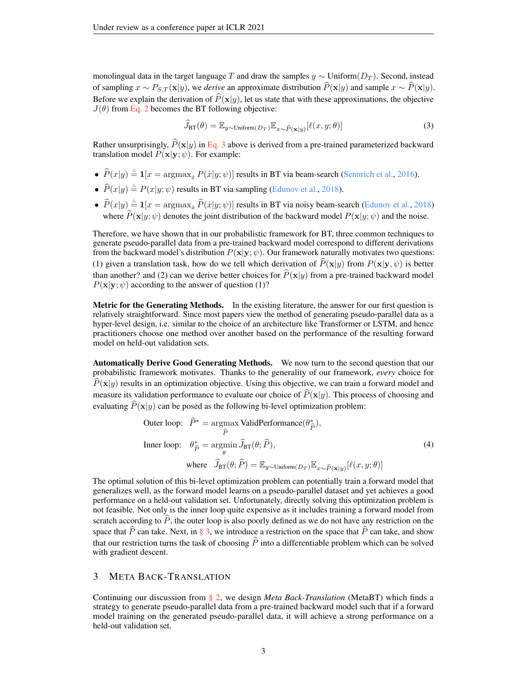monolingual data in the target language T and draw the samples  $y \sim$  Uniform $(D_T)$ . Second, instead of sampling  $x \sim P_{S,T}(\mathbf{x}|y)$ , we *derive* an approximate distribution  $\hat{P}(\mathbf{x}|y)$  and sample  $x \sim \hat{P}(\mathbf{x}|y)$ . Before we explain the derivation of  $\hat{P}(\mathbf{x}|y)$ , let us state that with these approximations, the objective  $J(\theta)$  from Eq. 2 becomes the BT following objective:

$$
\widehat{J}_{\text{BT}}(\theta) = \mathbb{E}_{y \sim \text{Uniform}(D_T)} \mathbb{E}_{x \sim \widehat{P}(\mathbf{x}|y)} [\ell(x, y; \theta)] \tag{3}
$$

Rather unsurprisingly,  $\hat{P}(\mathbf{x}|y)$  in Eq. 3 above is derived from a pre-trained parameterized backward translation model  $P(\mathbf{x}|\mathbf{y}; \psi)$ . For example:

- $P(x|y) \triangleq \mathbf{1}[x = \argmax_x P(\dot{x}|y; \psi)]$  results in BT via beam-search (Sennrich et al., 2016).
- $P(x|y) \triangleq P(x|y; \psi)$  results in BT via sampling (Edunov et al., 2018).
- $P(x|y) \triangleq \mathbf{1}[x = \argmax_x P(x|y; \psi)]$  results in BT via noisy beam-search (Edunov et al., 2018) where  $\widetilde{P}(\mathbf{x}|y; \psi)$  denotes the joint distribution of the backward model  $P(\mathbf{x}|y; \psi)$  and the noise.

Therefore, we have shown that in our probabilistic framework for BT, three common techniques to generate pseudo-parallel data from a pre-trained backward model correspond to different derivations from the backward model's distribution  $P(x|y; \psi)$ . Our framework naturally motivates two questions: (1) given a translation task, how do we tell which derivation of  $\hat{P}(\mathbf{x}|y)$  from  $P(\mathbf{x}|\mathbf{y}, \psi)$  is better than another? and (2) can we derive better choices for  $\hat{P}(\mathbf{x}|y)$  from a pre-trained backward model  $P(x|y; \psi)$  according to the answer of question (1)?

Metric for the Generating Methods. In the existing literature, the answer for our first question is relatively straightforward. Since most papers view the method of generating pseudo-parallel data as a hyper-level design, i.e. similar to the choice of an architecture like Transformer or LSTM, and hence practitioners choose one method over another based on the performance of the resulting forward model on held-out validation sets.

Automatically Derive Good Generating Methods. We now turn to the second question that our probabilistic framework motivates. Thanks to the generality of our framework, *every* choice for  $\hat{P}(\mathbf{x}|y)$  results in an optimization objective. Using this objective, we can train a forward model and measure its validation performance to evaluate our choice of  $\hat{P}(\mathbf{x}|y)$ . This process of choosing and evaluating  $\hat{P}(\mathbf{x}|y)$  can be posed as the following bi-level optimization problem:

Outer loop: 
$$
\hat{P}^* = \underset{\hat{P}}{\operatorname{argmax}} \text{ValidPerformance}(\theta_{\hat{P}}^*),
$$
  
\nInner loop:  $\theta_{\hat{P}}^* = \underset{\theta}{\operatorname{argmin}} \hat{J}_{\text{BT}}(\theta; \hat{P}),$   
\nwhere  $\hat{J}_{\text{BT}}(\theta; \hat{P}) = \mathbb{E}_{y \sim \text{Uniform}(D_T)} \mathbb{E}_{x \sim \hat{P}(\mathbf{x}|y)} [\ell(x, y; \theta)]$  (4)

The optimal solution of this bi-level optimization problem can potentially train a forward model that generalizes well, as the forward model learns on a pseudo-parallel dataset and yet achieves a good performance on a held-out validation set. Unfortunately, directly solving this optimization problem is not feasible. Not only is the inner loop quite expensive as it includes training a forward model from scratch according to  $\hat{P}$ , the outer loop is also poorly defined as we do not have any restriction on the space that  $\widehat{P}$  can take. Next, in § 3, we introduce a restriction on the space that  $\widehat{P}$  can take, and show that our restriction turns the task of choosing  $\hat{P}$  into a differentiable problem which can be solved with gradient descent.

#### 3 META BACK-TRANSLATION

Continuing our discussion from § 2, we design *Meta Back-Translation* (MetaBT) which finds a strategy to generate pseudo-parallel data from a pre-trained backward model such that if a forward model training on the generated pseudo-parallel data, it will achieve a strong performance on a held-out validation set.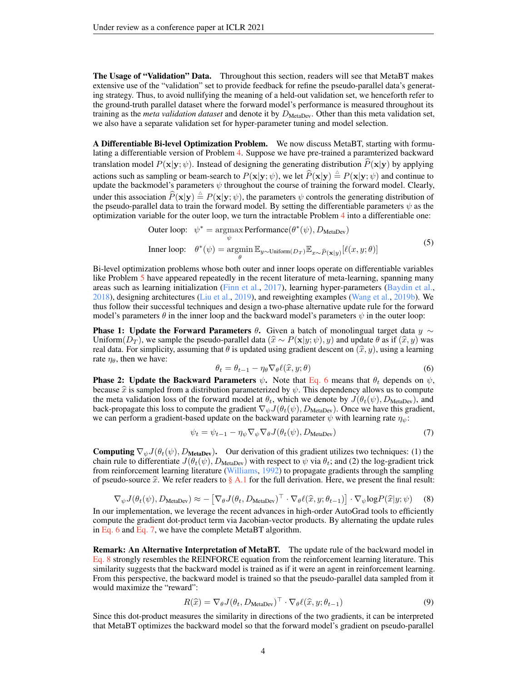The Usage of "Validation" Data. Throughout this section, readers will see that MetaBT makes extensive use of the "validation" set to provide feedback for refine the pseudo-parallel data's generating strategy. Thus, to avoid nullifying the meaning of a held-out validation set, we henceforth refer to the ground-truth parallel dataset where the forward model's performance is measured throughout its training as the *meta validation dataset* and denote it by DMetaDev. Other than this meta validation set, we also have a separate validation set for hyper-parameter tuning and model selection.

A Differentiable Bi-level Optimization Problem. We now discuss MetaBT, starting with formulating a differentiable version of Problem 4. Suppose we have pre-trained a paramterized backward translation model  $P(x|y; \psi)$ . Instead of designing the generating distribution  $\overline{P}(x|y)$  by applying actions such as sampling or beam-search to  $P(x|y; \psi)$ , we let  $P(x|y) \triangleq P(x|y; \psi)$  and continue to update the backmodel's parameters  $\psi$  throughout the course of training the forward model. Clearly, under this association  $P(x|y) \triangleq P(x|y; \psi)$ , the parameters  $\psi$  controls the generating distribution of the pseudo-parallel data to train the forward model. By setting the differentiable parameters  $\psi$  as the optimization variable for the outer loop, we turn the intractable Problem 4 into a differentiable one:

Outer loop: 
$$
\psi^* = \underset{\phi}{\operatorname{argmax}} \text{Performance}(\theta^*(\psi), D_{\text{MetaDev}})
$$

\nInner loop:  $\theta^*(\psi) = \underset{\theta}{\operatorname{argmin}} \mathbb{E}_{y \sim \text{Uniform}(D_T)} \mathbb{E}_{x \sim \widehat{P}(\mathbf{x}|y)} [\ell(x, y; \theta)]$ 

\n(5)

∗

Bi-level optimization problems whose both outer and inner loops operate on differentiable variables like Problem 5 have appeared repeatedly in the recent literature of meta-learning, spanning many areas such as learning initialization (Finn et al., 2017), learning hyper-parameters (Baydin et al., 2018), designing architectures (Liu et al., 2019), and reweighting examples (Wang et al., 2019b). We thus follow their successful techniques and design a two-phase alternative update rule for the forward model's parameters  $\theta$  in the inner loop and the backward model's parameters  $\psi$  in the outer loop:

**Phase 1: Update the Forward Parameters**  $\theta$ **.** Given a batch of monolingual target data  $y \sim$ Uniform( $D_T$ ), we sample the pseudo-parallel data  $(\hat{x} \sim P(\mathbf{x}|y; \psi), y)$  and update  $\theta$  as if  $(\hat{x}, y)$  was real data. For simplicity, assuming that  $\theta$  is updated using gradient descent on  $(\hat{x}, y)$ , using a learning rate  $\eta_{\theta}$ , then we have:

$$
\theta_t = \theta_{t-1} - \eta_\theta \nabla_\theta \ell(\hat{x}, y; \theta) \tag{6}
$$

**Phase 2: Update the Backward Parameters**  $\psi$ . Note that Eq. 6 means that  $\theta_t$  depends on  $\psi$ , because  $\hat{x}$  is sampled from a distribution parameterized by  $\psi$ . This dependency allows us to compute the meta validation loss of the forward model at  $\theta_t$ , which we denote by  $J(\theta_t(\psi), D_{\text{MetaDev}})$ , and back-propagate this loss to compute the gradient  $\nabla_{\psi} J(\theta_t(\psi), D_{\text{MetaDev}})$ . Once we have this gradient, we can perform a gradient-based update on the backward parameter  $\psi$  with learning rate  $\eta_{\psi}$ :

$$
\psi_t = \psi_{t-1} - \eta_\psi \nabla_\psi \nabla_\theta J(\theta_t(\psi), D_{\text{MetaDev}})
$$
\n(7)

**Computing**  $\nabla_{\psi} J(\theta_t(\psi), D_{\text{MetaDev}})$ . Our derivation of this gradient utilizes two techniques: (1) the chain rule to differentiate  $J(\theta_t(\psi), D_{\text{MetaDev}})$  with respect to  $\psi$  via  $\theta_t$ ; and (2) the log-gradient trick from reinforcement learning literature (Williams, 1992) to propagate gradients through the sampling of pseudo-source  $\hat{x}$ . We refer readers to § A.1 for the full derivation. Here, we present the final result:

$$
\nabla_{\psi} J(\theta_t(\psi), D_{\text{MetaDev}}) \approx -\left[\nabla_{\theta} J(\theta_t, D_{\text{MetaDev}})^{\top} \cdot \nabla_{\theta} \ell(\widehat{x}, y; \theta_{t-1})\right] \cdot \nabla_{\psi} \log P(\widehat{x}|y; \psi) \tag{8}
$$
  
In our implementation, we leverage the recent advances in high-order AutoGrad tools to efficiently

compute the gradient dot-product term via Jacobian-vector products. By alternating the update rules in Eq. 6 and Eq. 7, we have the complete MetaBT algorithm.

Remark: An Alternative Interpretation of MetaBT. The update rule of the backward model in Eq. 8 strongly resembles the REINFORCE equation from the reinforcement learning literature. This similarity suggests that the backward model is trained as if it were an agent in reinforcement learning. From this perspective, the backward model is trained so that the pseudo-parallel data sampled from it would maximize the "reward":

$$
R(\hat{x}) = \nabla_{\theta} J(\theta_t, D_{\text{MetaDev}})^{\top} \cdot \nabla_{\theta} \ell(\hat{x}, y; \theta_{t-1})
$$
\n(9)

Since this dot-product measures the similarity in directions of the two gradients, it can be interpreted that MetaBT optimizes the backward model so that the forward model's gradient on pseudo-parallel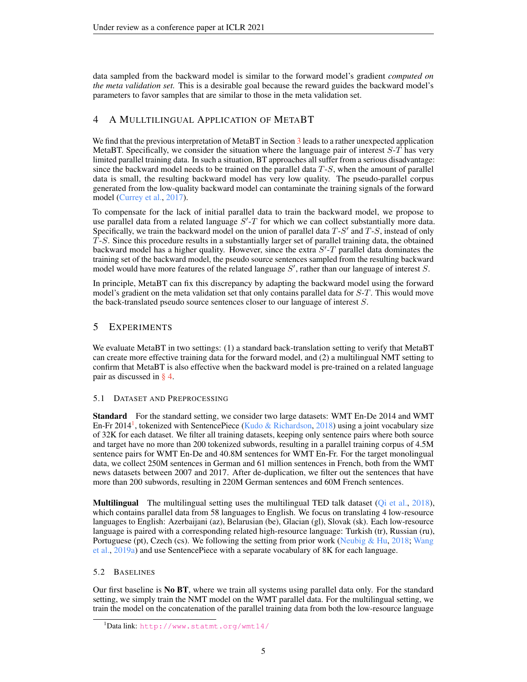data sampled from the backward model is similar to the forward model's gradient *computed on the meta validation set.* This is a desirable goal because the reward guides the backward model's parameters to favor samples that are similar to those in the meta validation set.

# 4 A MULLTILINGUAL APPLICATION OF METABT

We find that the previous interpretation of MetaBT in Section 3 leads to a rather unexpected application MetaBT. Specifically, we consider the situation where the language pair of interest  $S-T$  has very limited parallel training data. In such a situation, BT approaches all suffer from a serious disadvantage: since the backward model needs to be trained on the parallel data T-S, when the amount of parallel data is small, the resulting backward model has very low quality. The pseudo-parallel corpus generated from the low-quality backward model can contaminate the training signals of the forward model (Currey et al., 2017).

To compensate for the lack of initial parallel data to train the backward model, we propose to use parallel data from a related language  $S'$ -T for which we can collect substantially more data. Specifically, we train the backward model on the union of parallel data  $T-S'$  and  $T-S$ , instead of only T-S. Since this procedure results in a substantially larger set of parallel training data, the obtained backward model has a higher quality. However, since the extra  $S'$ -T parallel data dominates the training set of the backward model, the pseudo source sentences sampled from the resulting backward model would have more features of the related language  $S'$ , rather than our language of interest  $S$ .

In principle, MetaBT can fix this discrepancy by adapting the backward model using the forward model's gradient on the meta validation set that only contains parallel data for  $S-T$ . This would move the back-translated pseudo source sentences closer to our language of interest S.

# 5 EXPERIMENTS

We evaluate MetaBT in two settings: (1) a standard back-translation setting to verify that MetaBT can create more effective training data for the forward model, and (2) a multilingual NMT setting to confirm that MetaBT is also effective when the backward model is pre-trained on a related language pair as discussed in § 4.

## 5.1 DATASET AND PREPROCESSING

Standard For the standard setting, we consider two large datasets: WMT En-De 2014 and WMT En-Fr 2014<sup>1</sup>, tokenized with SentencePiece (Kudo & Richardson, 2018) using a joint vocabulary size of 32K for each dataset. We filter all training datasets, keeping only sentence pairs where both source and target have no more than 200 tokenized subwords, resulting in a parallel training corpus of 4.5M sentence pairs for WMT En-De and 40.8M sentences for WMT En-Fr. For the target monolingual data, we collect 250M sentences in German and 61 million sentences in French, both from the WMT news datasets between 2007 and 2017. After de-duplication, we filter out the sentences that have more than 200 subwords, resulting in 220M German sentences and 60M French sentences.

**Multilingual** The multilingual setting uses the multilingual TED talk dataset  $(Qi \text{ et al., } 2018)$ , which contains parallel data from 58 languages to English. We focus on translating 4 low-resource languages to English: Azerbaijani (az), Belarusian (be), Glacian (gl), Slovak (sk). Each low-resource language is paired with a corresponding related high-resource language: Turkish (tr), Russian (ru), Portuguese (pt), Czech (cs). We following the setting from prior work (Neubig & Hu, 2018; Wang et al., 2019a) and use SentencePiece with a separate vocabulary of 8K for each language.

## 5.2 BASELINES

Our first baseline is No BT, where we train all systems using parallel data only. For the standard setting, we simply train the NMT model on the WMT parallel data. For the multilingual setting, we train the model on the concatenation of the parallel training data from both the low-resource language

<sup>1</sup>Data link: http://www.statmt.org/wmt14/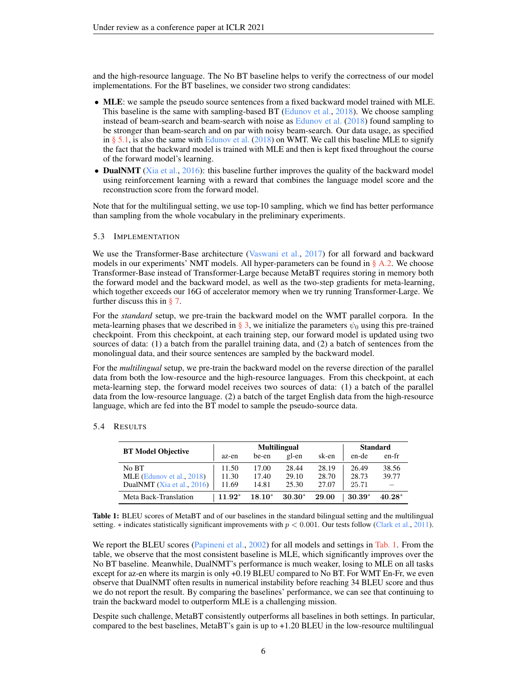and the high-resource language. The No BT baseline helps to verify the correctness of our model implementations. For the BT baselines, we consider two strong candidates:

- MLE: we sample the pseudo source sentences from a fixed backward model trained with MLE. This baseline is the same with sampling-based BT (Edunov et al., 2018). We choose sampling instead of beam-search and beam-search with noise as Edunov et al. (2018) found sampling to be stronger than beam-search and on par with noisy beam-search. Our data usage, as specified in § 5.1, is also the same with Edunov et al.  $(2018)$  on WMT. We call this baseline MLE to signify the fact that the backward model is trained with MLE and then is kept fixed throughout the course of the forward model's learning.
- DualNMT (Xia et al., 2016): this baseline further improves the quality of the backward model using reinforcement learning with a reward that combines the language model score and the reconstruction score from the forward model.

Note that for the multilingual setting, we use top-10 sampling, which we find has better performance than sampling from the whole vocabulary in the preliminary experiments.

#### 5.3 IMPLEMENTATION

We use the Transformer-Base architecture (Vaswani et al., 2017) for all forward and backward models in our experiments' NMT models. All hyper-parameters can be found in  $\S$  A.2. We choose Transformer-Base instead of Transformer-Large because MetaBT requires storing in memory both the forward model and the backward model, as well as the two-step gradients for meta-learning, which together exceeds our 16G of accelerator memory when we try running Transformer-Large. We further discuss this in § 7.

For the *standard* setup, we pre-train the backward model on the WMT parallel corpora. In the meta-learning phases that we described in § 3, we initialize the parameters  $\psi_0$  using this pre-trained checkpoint. From this checkpoint, at each training step, our forward model is updated using two sources of data: (1) a batch from the parallel training data, and (2) a batch of sentences from the monolingual data, and their source sentences are sampled by the backward model.

For the *multilingual* setup, we pre-train the backward model on the reverse direction of the parallel data from both the low-resource and the high-resource languages. From this checkpoint, at each meta-learning step, the forward model receives two sources of data: (1) a batch of the parallel data from the low-resource language. (2) a batch of the target English data from the high-resource language, which are fed into the BT model to sample the pseudo-source data.

#### 5.4 RESULTS

| <b>BT</b> Model Objective        | <b>Multilingual</b> |          |          |       | <b>Standard</b> |          |
|----------------------------------|---------------------|----------|----------|-------|-----------------|----------|
|                                  | az-en               | be-en    | gl-en    | sk-en | en-de           | en-fr    |
| No BT                            | 11.50               | 17.00    | 28.44    | 28.19 | 26.49           | 38.56    |
| <b>MLE</b> (Edunov et al., 2018) | 11.30               | 17.40    | 29.10    | 28.70 | 28.73           | 39.77    |
| DualNMT (Xia et al., 2016)       | 11.69               | 14.81    | 25.30    | 27.07 | 25.71           |          |
| Meta Back-Translation            | $11.92*$            | $18.10*$ | $30.30*$ | 29.00 | $30.39*$        | $40.28*$ |

Table 1: BLEU scores of MetaBT and of our baselines in the standard bilingual setting and the multilingual setting.  $*$  indicates statistically significant improvements with  $p < 0.001$ . Our tests follow (Clark et al., 2011).

We report the BLEU scores (Papineni et al., 2002) for all models and settings in Tab. 1. From the table, we observe that the most consistent baseline is MLE, which significantly improves over the No BT baseline. Meanwhile, DualNMT's performance is much weaker, losing to MLE on all tasks except for az-en where its margin is only +0.19 BLEU compared to No BT. For WMT En-Fr, we even observe that DualNMT often results in numerical instability before reaching 34 BLEU score and thus we do not report the result. By comparing the baselines' performance, we can see that continuing to train the backward model to outperform MLE is a challenging mission.

Despite such challenge, MetaBT consistently outperforms all baselines in both settings. In particular, compared to the best baselines, MetaBT's gain is up to +1.20 BLEU in the low-resource multilingual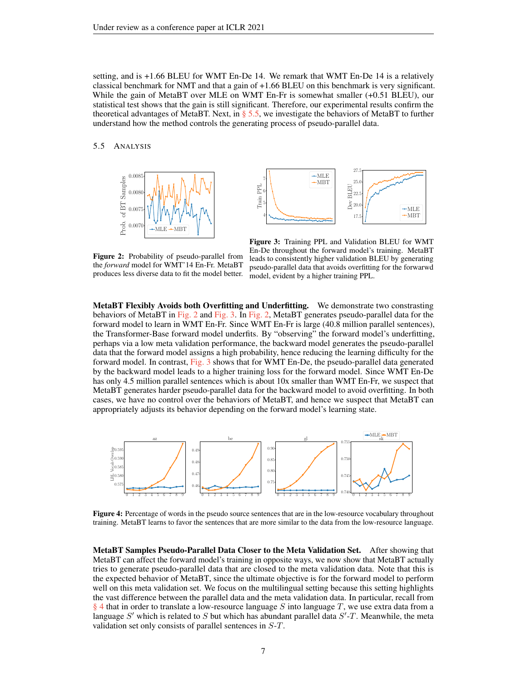setting, and is +1.66 BLEU for WMT En-De 14. We remark that WMT En-De 14 is a relatively classical benchmark for NMT and that a gain of +1.66 BLEU on this benchmark is very significant. While the gain of MetaBT over MLE on WMT En-Fr is somewhat smaller (+0.51 BLEU), our statistical test shows that the gain is still significant. Therefore, our experimental results confirm the theoretical advantages of MetaBT. Next, in  $\S$  5.5, we investigate the behaviors of MetaBT to further understand how the method controls the generating process of pseudo-parallel data.

#### 5.5 ANALYSIS





Figure 2: Probability of pseudo-parallel from the *forward* model for WMT'14 En-Fr. MetaBT produces less diverse data to fit the model better.

Figure 3: Training PPL and Validation BLEU for WMT En-De throughout the forward model's training. MetaBT leads to consistently higher validation BLEU by generating pseudo-parallel data that avoids overfitting for the forwarwd model, evident by a higher training PPL.

MetaBT Flexibly Avoids both Overfitting and Underfitting. We demonstrate two constrasting behaviors of MetaBT in Fig. 2 and Fig. 3. In Fig. 2, MetaBT generates pseudo-parallel data for the forward model to learn in WMT En-Fr. Since WMT En-Fr is large (40.8 million parallel sentences), the Transformer-Base forward model underfits. By "observing" the forward model's underfitting, perhaps via a low meta validation performance, the backward model generates the pseudo-parallel data that the forward model assigns a high probability, hence reducing the learning difficulty for the forward model. In contrast, Fig. 3 shows that for WMT En-De, the pseudo-parallel data generated by the backward model leads to a higher training loss for the forward model. Since WMT En-De has only 4.5 million parallel sentences which is about 10x smaller than WMT En-Fr, we suspect that MetaBT generates harder pseudo-parallel data for the backward model to avoid overfitting. In both cases, we have no control over the behaviors of MetaBT, and hence we suspect that MetaBT can appropriately adjusts its behavior depending on the forward model's learning state.



Figure 4: Percentage of words in the pseudo source sentences that are in the low-resource vocabulary throughout training. MetaBT learns to favor the sentences that are more similar to the data from the low-resource language.

MetaBT Samples Pseudo-Parallel Data Closer to the Meta Validation Set. After showing that MetaBT can affect the forward model's training in opposite ways, we now show that MetaBT actually tries to generate pseudo-parallel data that are closed to the meta validation data. Note that this is the expected behavior of MetaBT, since the ultimate objective is for the forward model to perform well on this meta validation set. We focus on the multilingual setting because this setting highlights the vast difference between the parallel data and the meta validation data. In particular, recall from  $§$  4 that in order to translate a low-resource language S into language T, we use extra data from a language  $S'$  which is related to  $S$  but which has abundant parallel data  $S'-T$ . Meanwhile, the meta validation set only consists of parallel sentences in S-T.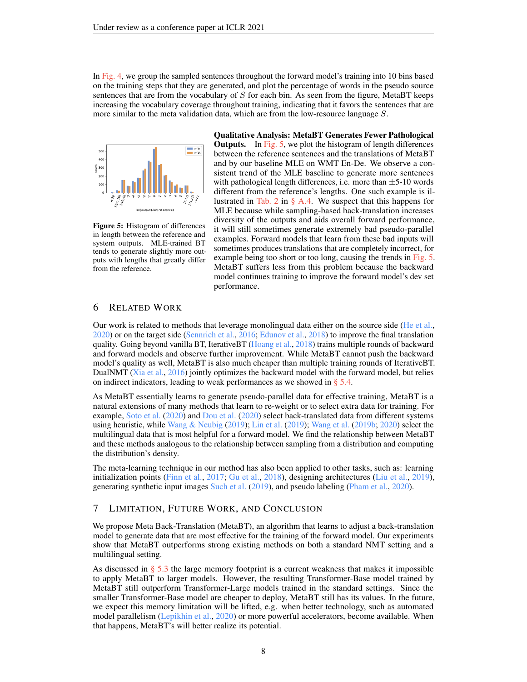In Fig. 4, we group the sampled sentences throughout the forward model's training into 10 bins based on the training steps that they are generated, and plot the percentage of words in the pseudo source sentences that are from the vocabulary of  $S$  for each bin. As seen from the figure, MetaBT keeps increasing the vocabulary coverage throughout training, indicating that it favors the sentences that are more similar to the meta validation data, which are from the low-resource language S.



Figure 5: Histogram of differences in length between the reference and system outputs. MLE-trained BT tends to generate slightly more outputs with lengths that greatly differ from the reference.

Qualitative Analysis: MetaBT Generates Fewer Pathological **Outputs.** In Fig. 5, we plot the histogram of length differences between the reference sentences and the translations of MetaBT and by our baseline MLE on WMT En-De. We observe a consistent trend of the MLE baseline to generate more sentences with pathological length differences, i.e. more than  $\pm$ 5-10 words different from the reference's lengths. One such example is illustrated in Tab. 2 in § A.4. We suspect that this happens for MLE because while sampling-based back-translation increases diversity of the outputs and aids overall forward performance, it will still sometimes generate extremely bad pseudo-parallel examples. Forward models that learn from these bad inputs will sometimes produces translations that are completely incorrect, for example being too short or too long, causing the trends in Fig. 5. MetaBT suffers less from this problem because the backward model continues training to improve the forward model's dev set performance.

# 6 RELATED WORK

Our work is related to methods that leverage monolingual data either on the source side (He et al., 2020) or on the target side (Sennrich et al., 2016; Edunov et al., 2018) to improve the final translation quality. Going beyond vanilla BT, IterativeBT (Hoang et al., 2018) trains multiple rounds of backward and forward models and observe further improvement. While MetaBT cannot push the backward model's quality as well, MetaBT is also much cheaper than multiple training rounds of IterativeBT. DualNMT (Xia et al., 2016) jointly optimizes the backward model with the forward model, but relies on indirect indicators, leading to weak performances as we showed in § 5.4.

As MetaBT essentially learns to generate pseudo-parallel data for effective training, MetaBT is a natural extensions of many methods that learn to re-weight or to select extra data for training. For example, Soto et al. (2020) and Dou et al. (2020) select back-translated data from different systems using heuristic, while Wang & Neubig (2019); Lin et al. (2019); Wang et al. (2019b; 2020) select the multilingual data that is most helpful for a forward model. We find the relationship between MetaBT and these methods analogous to the relationship between sampling from a distribution and computing the distribution's density.

The meta-learning technique in our method has also been applied to other tasks, such as: learning initialization points (Finn et al., 2017; Gu et al., 2018), designing architectures (Liu et al., 2019), generating synthetic input images Such et al. (2019), and pseudo labeling (Pham et al., 2020).

#### 7 LIMITATION, FUTURE WORK, AND CONCLUSION

We propose Meta Back-Translation (MetaBT), an algorithm that learns to adjust a back-translation model to generate data that are most effective for the training of the forward model. Our experiments show that MetaBT outperforms strong existing methods on both a standard NMT setting and a multilingual setting.

As discussed in  $\S$  5.3 the large memory footprint is a current weakness that makes it impossible to apply MetaBT to larger models. However, the resulting Transformer-Base model trained by MetaBT still outperform Transformer-Large models trained in the standard settings. Since the smaller Transformer-Base model are cheaper to deploy, MetaBT still has its values. In the future, we expect this memory limitation will be lifted, e.g. when better technology, such as automated model parallelism (Lepikhin et al., 2020) or more powerful accelerators, become available. When that happens, MetaBT's will better realize its potential.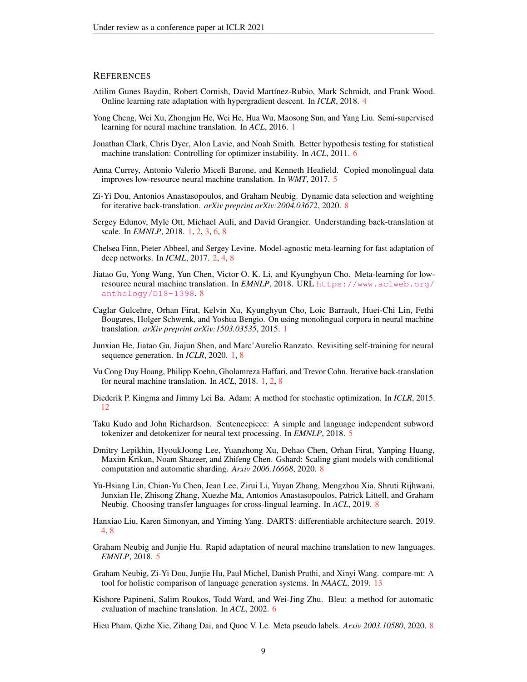#### **REFERENCES**

- Atilim Gunes Baydin, Robert Cornish, David Martínez-Rubio, Mark Schmidt, and Frank Wood. Online learning rate adaptation with hypergradient descent. In *ICLR*, 2018. 4
- Yong Cheng, Wei Xu, Zhongjun He, Wei He, Hua Wu, Maosong Sun, and Yang Liu. Semi-supervised learning for neural machine translation. In *ACL*, 2016. 1
- Jonathan Clark, Chris Dyer, Alon Lavie, and Noah Smith. Better hypothesis testing for statistical machine translation: Controlling for optimizer instability. In *ACL*, 2011. 6
- Anna Currey, Antonio Valerio Miceli Barone, and Kenneth Heafield. Copied monolingual data improves low-resource neural machine translation. In *WMT*, 2017. 5
- Zi-Yi Dou, Antonios Anastasopoulos, and Graham Neubig. Dynamic data selection and weighting for iterative back-translation. *arXiv preprint arXiv:2004.03672*, 2020. 8
- Sergey Edunov, Myle Ott, Michael Auli, and David Grangier. Understanding back-translation at scale. In *EMNLP*, 2018. 1, 2, 3, 6, 8
- Chelsea Finn, Pieter Abbeel, and Sergey Levine. Model-agnostic meta-learning for fast adaptation of deep networks. In *ICML*, 2017. 2, 4, 8
- Jiatao Gu, Yong Wang, Yun Chen, Victor O. K. Li, and Kyunghyun Cho. Meta-learning for lowresource neural machine translation. In *EMNLP*, 2018. URL https://www.aclweb.org/ anthology/D18-1398. 8
- Caglar Gulcehre, Orhan Firat, Kelvin Xu, Kyunghyun Cho, Loic Barrault, Huei-Chi Lin, Fethi Bougares, Holger Schwenk, and Yoshua Bengio. On using monolingual corpora in neural machine translation. *arXiv preprint arXiv:1503.03535*, 2015. 1
- Junxian He, Jiatao Gu, Jiajun Shen, and Marc'Aurelio Ranzato. Revisiting self-training for neural sequence generation. In *ICLR*, 2020. 1, 8
- Vu Cong Duy Hoang, Philipp Koehn, Gholamreza Haffari, and Trevor Cohn. Iterative back-translation for neural machine translation. In *ACL*, 2018. 1, 2, 8
- Diederik P. Kingma and Jimmy Lei Ba. Adam: A method for stochastic optimization. In *ICLR*, 2015. 12
- Taku Kudo and John Richardson. Sentencepiece: A simple and language independent subword tokenizer and detokenizer for neural text processing. In *EMNLP*, 2018. 5
- Dmitry Lepikhin, HyoukJoong Lee, Yuanzhong Xu, Dehao Chen, Orhan Firat, Yanping Huang, Maxim Krikun, Noam Shazeer, and Zhifeng Chen. Gshard: Scaling giant models with conditional computation and automatic sharding. *Arxiv 2006.16668*, 2020. 8
- Yu-Hsiang Lin, Chian-Yu Chen, Jean Lee, Zirui Li, Yuyan Zhang, Mengzhou Xia, Shruti Rijhwani, Junxian He, Zhisong Zhang, Xuezhe Ma, Antonios Anastasopoulos, Patrick Littell, and Graham Neubig. Choosing transfer languages for cross-lingual learning. In *ACL*, 2019. 8
- Hanxiao Liu, Karen Simonyan, and Yiming Yang. DARTS: differentiable architecture search. 2019. 4, 8
- Graham Neubig and Junjie Hu. Rapid adaptation of neural machine translation to new languages. *EMNLP*, 2018. 5
- Graham Neubig, Zi-Yi Dou, Junjie Hu, Paul Michel, Danish Pruthi, and Xinyi Wang. compare-mt: A tool for holistic comparison of language generation systems. In *NAACL*, 2019. 13
- Kishore Papineni, Salim Roukos, Todd Ward, and Wei-Jing Zhu. Bleu: a method for automatic evaluation of machine translation. In *ACL*, 2002. 6

Hieu Pham, Qizhe Xie, Zihang Dai, and Quoc V. Le. Meta pseudo labels. *Arxiv 2003.10580*, 2020. 8